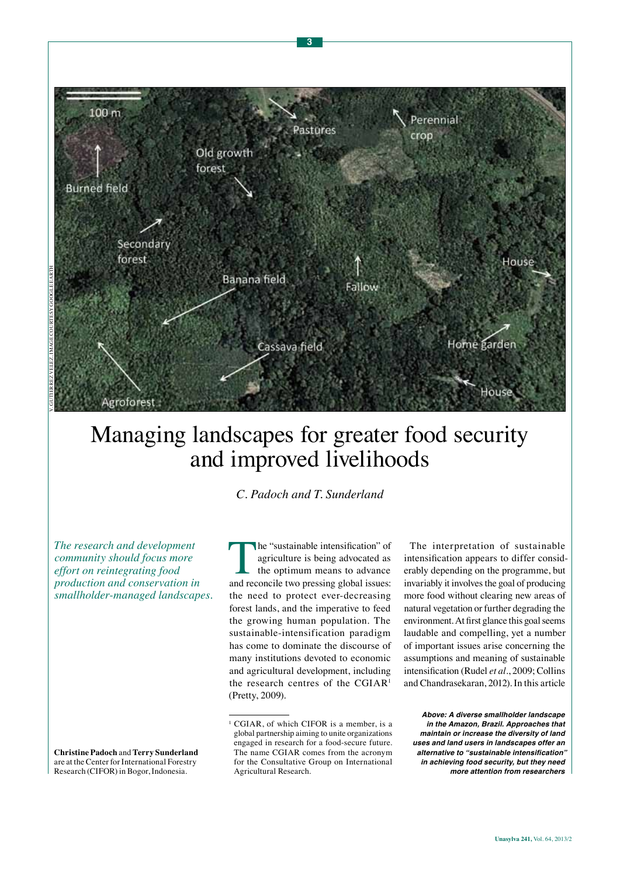

# Managing landscapes for greater food security and improved livelihoods

*C. Padoch and T. Sunderland*

*The research and development community should focus more effort on reintegrating food production and conservation in smallholder-managed landscapes.*

**Christine Padoch** and **Terry Sunderland**  are at the Center for International Forestry Research (CIFOR) in Bogor, Indonesia.

The "sustainable intensification" of<br>agriculture is being advocated as<br>the optimum means to advance<br>and reconcile two pressing global issues: agriculture is being advocated as the optimum means to advance and reconcile two pressing global issues: the need to protect ever-decreasing forest lands, and the imperative to feed the growing human population. The sustainable-intensification paradigm has come to dominate the discourse of many institutions devoted to economic and agricultural development, including the research centres of the CGIAR<sup>1</sup> (Pretty, 2009).

The interpretation of sustainable intensification appears to differ considerably depending on the programme, but invariably it involves the goal of producing more food without clearing new areas of natural vegetation or further degrading the environment. At first glance this goal seems laudable and compelling, yet a number of important issues arise concerning the assumptions and meaning of sustainable intensification (Rudel *et al.*, 2009; Collins and Chandrasekaran, 2012). In this article

*Above: A diverse smallholder landscape in the Amazon, Brazil. Approaches that maintain or increase the diversity of land uses and land users in landscapes offer an*  **alternative to "sustainable intensification"**  *in achieving food security, but they need more attention from researchers* 

<sup>1</sup> CGIAR, of which CIFOR is a member, is a global partnership aiming to unite organizations engaged in research for a food-secure future. The name CGIAR comes from the acronym for the Consultative Group on International Agricultural Research.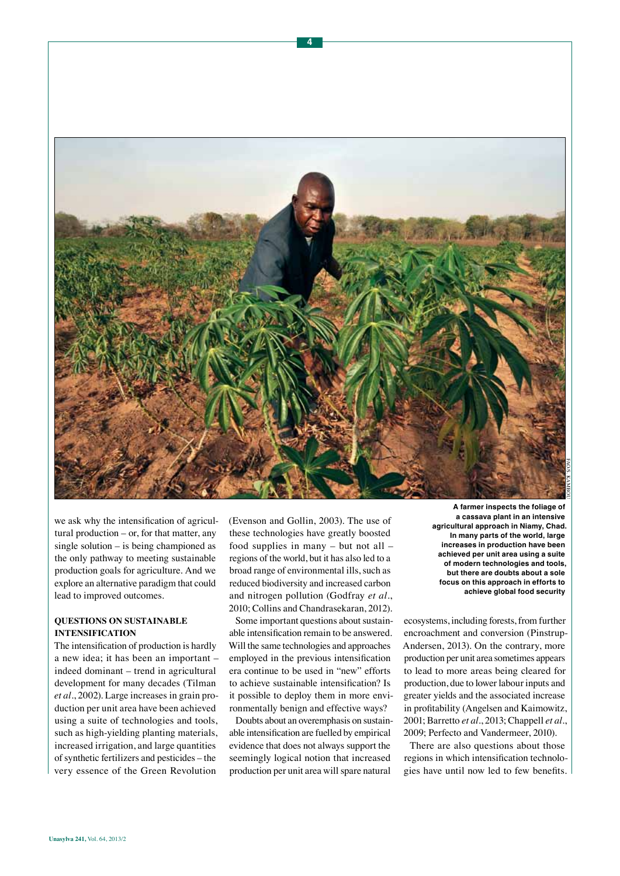

we ask why the intensification of agricultural production – or, for that matter, any single solution – is being championed as the only pathway to meeting sustainable production goals for agriculture. And we explore an alternative paradigm that could lead to improved outcomes.

# **QUESTIONS ON SUSTAINABLE INTENSIFICATION**

The intensification of production is hardly a new idea; it has been an important – indeed dominant – trend in agricultural development for many decades (Tilman *et al.*, 2002). Large increases in grain production per unit area have been achieved using a suite of technologies and tools, such as high-yielding planting materials, increased irrigation, and large quantities of synthetic fertilizers and pesticides – the very essence of the Green Revolution

(Evenson and Gollin, 2003). The use of these technologies have greatly boosted food supplies in many – but not all – regions of the world, but it has also led to a broad range of environmental ills, such as reduced biodiversity and increased carbon and nitrogen pollution (Godfray *et al.*, 2010; Collins and Chandrasekaran, 2012).

Some important questions about sustainable intensification remain to be answered. Will the same technologies and approaches employed in the previous intensification era continue to be used in "new" efforts to achieve sustainable intensification? Is it possible to deploy them in more environmentally benign and effective ways?

Doubts about an overemphasis on sustainable intensification are fuelled by empirical evidence that does not always support the seemingly logical notion that increased production per unit area will spare natural

**A farmer inspects the foliage of a cassava plant in an intensive agricultural approach in Niamy, Chad. In many parts of the world, large increases in production have been achieved per unit area using a suite of modern technologies and tools, but there are doubts about a sole focus on this approach in efforts to achieve global food security** 

ecosystems, including forests, from further encroachment and conversion (Pinstrup-Andersen, 2013). On the contrary, more production per unit area sometimes appears to lead to more areas being cleared for production, due to lower labour inputs and greater yields and the associated increase in profitability (Angelsen and Kaimowitz, 2001; Barretto *et al.*, 2013; Chappell *et al.*, 2009; Perfecto and Vandermeer, 2010).

There are also questions about those regions in which intensification technologies have until now led to few benefits.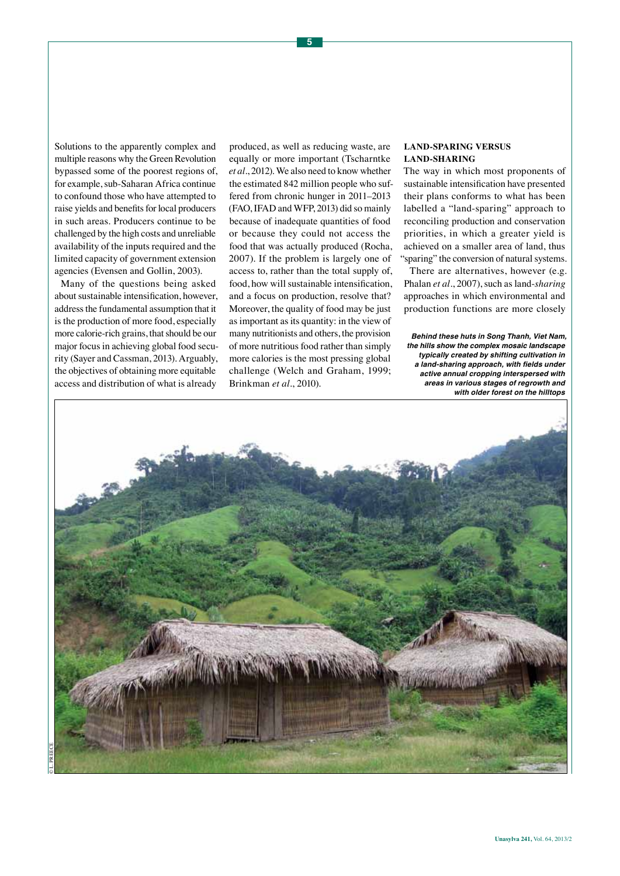Solutions to the apparently complex and multiple reasons why the Green Revolution bypassed some of the poorest regions of, for example, sub-Saharan Africa continue to confound those who have attempted to raise yields and benefits for local producers in such areas. Producers continue to be challenged by the high costs and unreliable availability of the inputs required and the limited capacity of government extension agencies (Evensen and Gollin, 2003).

Many of the questions being asked about sustainable intensification, however, address the fundamental assumption that it is the production of more food, especially more calorie-rich grains, that should be our major focus in achieving global food security (Sayer and Cassman, 2013). Arguably, the objectives of obtaining more equitable access and distribution of what is already

produced, as well as reducing waste, are equally or more important (Tscharntke *et al.*, 2012). We also need to know whether the estimated 842 million people who suffered from chronic hunger in 2011–2013 (FAO, IFAD and WFP, 2013) did so mainly because of inadequate quantities of food or because they could not access the food that was actually produced (Rocha, 2007). If the problem is largely one of access to, rather than the total supply of, food, how will sustainable intensification, and a focus on production, resolve that? Moreover, the quality of food may be just as important as its quantity: in the view of many nutritionists and others, the provision of more nutritious food rather than simply more calories is the most pressing global challenge (Welch and Graham, 1999; Brinkman *et al.*, 2010).

# **LAND-SPARING VERSUS LAND-SHARING**

The way in which most proponents of sustainable intensification have presented their plans conforms to what has been labelled a "land-sparing" approach to reconciling production and conservation priorities, in which a greater yield is achieved on a smaller area of land, thus "sparing" the conversion of natural systems.

There are alternatives, however (e.g. Phalan *et al.*, 2007), such as land-*sharing* approaches in which environmental and production functions are more closely

*Behind these huts in Song Thanh, Viet Nam, the hills show the complex mosaic landscape typically created by shifting cultivation in*  **a land-sharing approach, with fields under**  *active annual cropping interspersed with areas in various stages of regrowth and with older forest on the hilltops* 

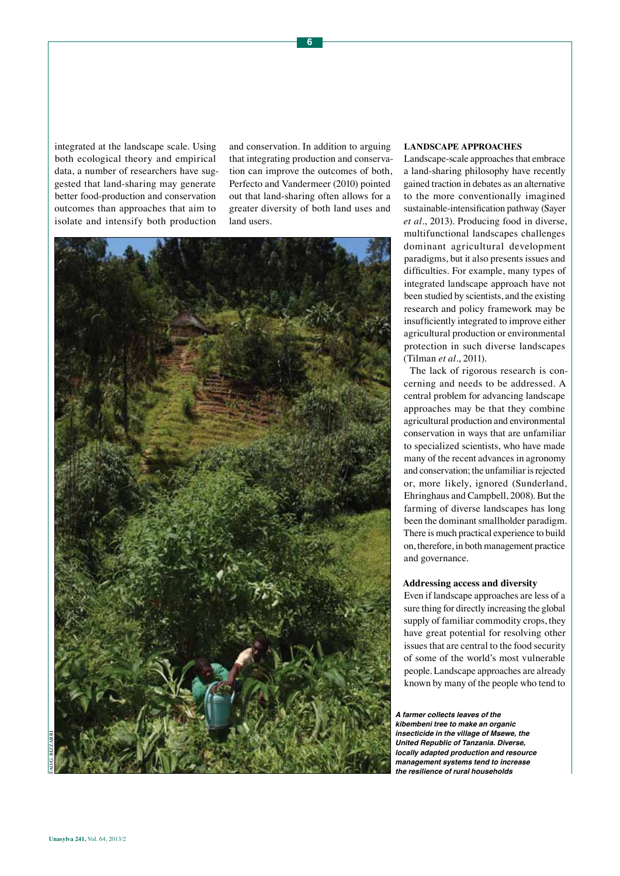integrated at the landscape scale. Using both ecological theory and empirical data, a number of researchers have suggested that land-sharing may generate better food-production and conservation outcomes than approaches that aim to isolate and intensify both production

and conservation. In addition to arguing that integrating production and conservation can improve the outcomes of both, Perfecto and Vandermeer (2010) pointed out that land-sharing often allows for a greater diversity of both land uses and land users.



#### **LANDSCAPE APPROACHES**

Landscape-scale approaches that embrace a land-sharing philosophy have recently gained traction in debates as an alternative to the more conventionally imagined sustainable-intensification pathway (Sayer *et al.*, 2013). Producing food in diverse, multifunctional landscapes challenges dominant agricultural development paradigms, but it also presents issues and difficulties. For example, many types of integrated landscape approach have not been studied by scientists, and the existing research and policy framework may be insufficiently integrated to improve either agricultural production or environmental protection in such diverse landscapes (Tilman *et al.*, 2011).

The lack of rigorous research is concerning and needs to be addressed. A central problem for advancing landscape approaches may be that they combine agricultural production and environmental conservation in ways that are unfamiliar to specialized scientists, who have made many of the recent advances in agronomy and conservation; the unfamiliar is rejected or, more likely, ignored (Sunderland, Ehringhaus and Campbell, 2008). But the farming of diverse landscapes has long been the dominant smallholder paradigm. There is much practical experience to build on, therefore, in both management practice and governance.

#### **Addressing access and diversity**

Even if landscape approaches are less of a sure thing for directly increasing the global supply of familiar commodity crops, they have great potential for resolving other issues that are central to the food security of some of the world's most vulnerable people. Landscape approaches are already known by many of the people who tend to

*A farmer collects leaves of the kibembeni tree to make an organic insecticide in the village of Msewe, the United Republic of Tanzania. Diverse, locally adapted production and resource management systems tend to increase the resilience of rural households*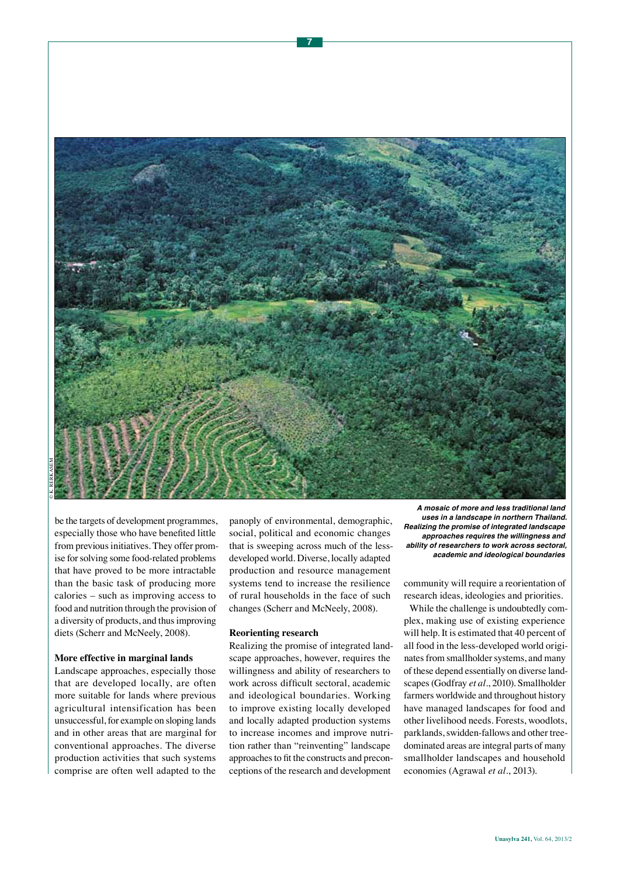

**7**

be the targets of development programmes, especially those who have benefited little from previous initiatives. They offer promise for solving some food-related problems that have proved to be more intractable than the basic task of producing more calories – such as improving access to food and nutrition through the provision of a diversity of products, and thus improving diets (Scherr and McNeely, 2008).

#### **More effective in marginal lands**

Landscape approaches, especially those that are developed locally, are often more suitable for lands where previous agricultural intensification has been unsuccessful, for example on sloping lands and in other areas that are marginal for conventional approaches. The diverse production activities that such systems comprise are often well adapted to the

panoply of environmental, demographic, social, political and economic changes that is sweeping across much of the lessdeveloped world. Diverse, locally adapted production and resource management systems tend to increase the resilience of rural households in the face of such changes (Scherr and McNeely, 2008).

#### **Reorienting research**

Realizing the promise of integrated landscape approaches, however, requires the willingness and ability of researchers to work across difficult sectoral, academic and ideological boundaries. Working to improve existing locally developed and locally adapted production systems to increase incomes and improve nutrition rather than "reinventing" landscape approaches to fit the constructs and preconceptions of the research and development

*A mosaic of more and less traditional land uses in a landscape in northern Thailand. Realizing the promise of integrated landscape approaches requires the willingness and ability of researchers to work across sectoral, academic and ideological boundaries* 

community will require a reorientation of research ideas, ideologies and priorities.

While the challenge is undoubtedly complex, making use of existing experience will help. It is estimated that 40 percent of all food in the less-developed world originates from smallholder systems, and many of these depend essentially on diverse landscapes (Godfray *et al.*, 2010). Smallholder farmers worldwide and throughout history have managed landscapes for food and other livelihood needs. Forests, woodlots, parklands, swidden-fallows and other treedominated areas are integral parts of many smallholder landscapes and household economies (Agrawal *et al.*, 2013).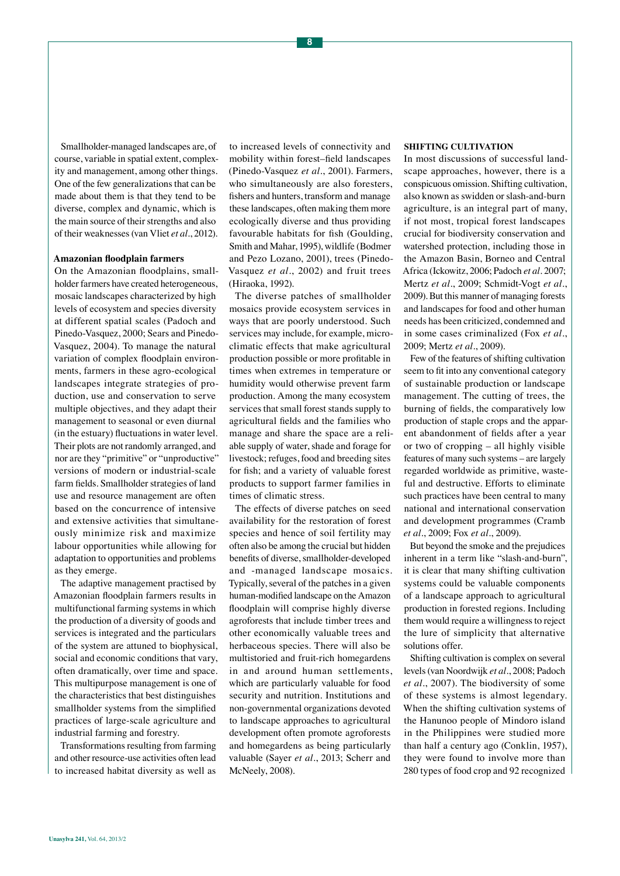Smallholder-managed landscapes are, of course, variable in spatial extent, complexity and management, among other things. One of the few generalizations that can be made about them is that they tend to be diverse, complex and dynamic, which is the main source of their strengths and also of their weaknesses (van Vliet *et al.*, 2012).

#### **Amazonian floodplain farmers**

On the Amazonian floodplains, smallholder farmers have created heterogeneous, mosaic landscapes characterized by high levels of ecosystem and species diversity at different spatial scales (Padoch and Pinedo-Vasquez, 2000; Sears and Pinedo-Vasquez, 2004). To manage the natural variation of complex floodplain environments, farmers in these agro-ecological landscapes integrate strategies of production, use and conservation to serve multiple objectives, and they adapt their management to seasonal or even diurnal (in the estuary) fluctuations in water level. Their plots are not randomly arranged, and nor are they "primitive" or "unproductive" versions of modern or industrial-scale farm fields. Smallholder strategies of land use and resource management are often based on the concurrence of intensive and extensive activities that simultaneously minimize risk and maximize labour opportunities while allowing for adaptation to opportunities and problems as they emerge.

The adaptive management practised by Amazonian floodplain farmers results in multifunctional farming systems in which the production of a diversity of goods and services is integrated and the particulars of the system are attuned to biophysical, social and economic conditions that vary, often dramatically, over time and space. This multipurpose management is one of the characteristics that best distinguishes smallholder systems from the simplified practices of large-scale agriculture and industrial farming and forestry.

Transformations resulting from farming and other resource-use activities often lead to increased habitat diversity as well as

to increased levels of connectivity and mobility within forest–field landscapes (Pinedo-Vasquez *et al.*, 2001). Farmers, who simultaneously are also foresters, fishers and hunters, transform and manage these landscapes, often making them more ecologically diverse and thus providing favourable habitats for fish (Goulding, Smith and Mahar, 1995), wildlife (Bodmer and Pezo Lozano, 2001), trees (Pinedo-Vasquez *et al.*, 2002) and fruit trees (Hiraoka, 1992).

The diverse patches of smallholder mosaics provide ecosystem services in ways that are poorly understood. Such services may include, for example, microclimatic effects that make agricultural production possible or more profitable in times when extremes in temperature or humidity would otherwise prevent farm production. Among the many ecosystem services that small forest stands supply to agricultural fields and the families who manage and share the space are a reliable supply of water, shade and forage for livestock; refuges, food and breeding sites for fish; and a variety of valuable forest products to support farmer families in times of climatic stress.

The effects of diverse patches on seed availability for the restoration of forest species and hence of soil fertility may often also be among the crucial but hidden benefits of diverse, smallholder-developed and -managed landscape mosaics. Typically, several of the patches in a given human-modified landscape on the Amazon floodplain will comprise highly diverse agroforests that include timber trees and other economically valuable trees and herbaceous species. There will also be multistoried and fruit-rich homegardens in and around human settlements, which are particularly valuable for food security and nutrition. Institutions and non-governmental organizations devoted to landscape approaches to agricultural development often promote agroforests and homegardens as being particularly valuable (Sayer *et al.*, 2013; Scherr and McNeely, 2008).

#### **SHIFTING CULTIVATION**

In most discussions of successful landscape approaches, however, there is a conspicuous omission. Shifting cultivation, also known as swidden or slash-and-burn agriculture, is an integral part of many, if not most, tropical forest landscapes crucial for biodiversity conservation and watershed protection, including those in the Amazon Basin, Borneo and Central Africa (Ickowitz, 2006; Padoch *et al.* 2007; Mertz *et al.*, 2009; Schmidt-Vogt *et al.*, 2009). But this manner of managing forests and landscapes for food and other human needs has been criticized, condemned and in some cases criminalized (Fox *et al.*, 2009; Mertz *et al.*, 2009).

Few of the features of shifting cultivation seem to fit into any conventional category of sustainable production or landscape management. The cutting of trees, the burning of fields, the comparatively low production of staple crops and the apparent abandonment of fields after a year or two of cropping – all highly visible features of many such systems – are largely regarded worldwide as primitive, wasteful and destructive. Efforts to eliminate such practices have been central to many national and international conservation and development programmes (Cramb *et al.*, 2009; Fox *et al.*, 2009).

But beyond the smoke and the prejudices inherent in a term like "slash-and-burn", it is clear that many shifting cultivation systems could be valuable components of a landscape approach to agricultural production in forested regions. Including them would require a willingness to reject the lure of simplicity that alternative solutions offer.

Shifting cultivation is complex on several levels (van Noordwijk *et al.*, 2008; Padoch *et al.*, 2007). The biodiversity of some of these systems is almost legendary. When the shifting cultivation systems of the Hanunoo people of Mindoro island in the Philippines were studied more than half a century ago (Conklin, 1957), they were found to involve more than 280 types of food crop and 92 recognized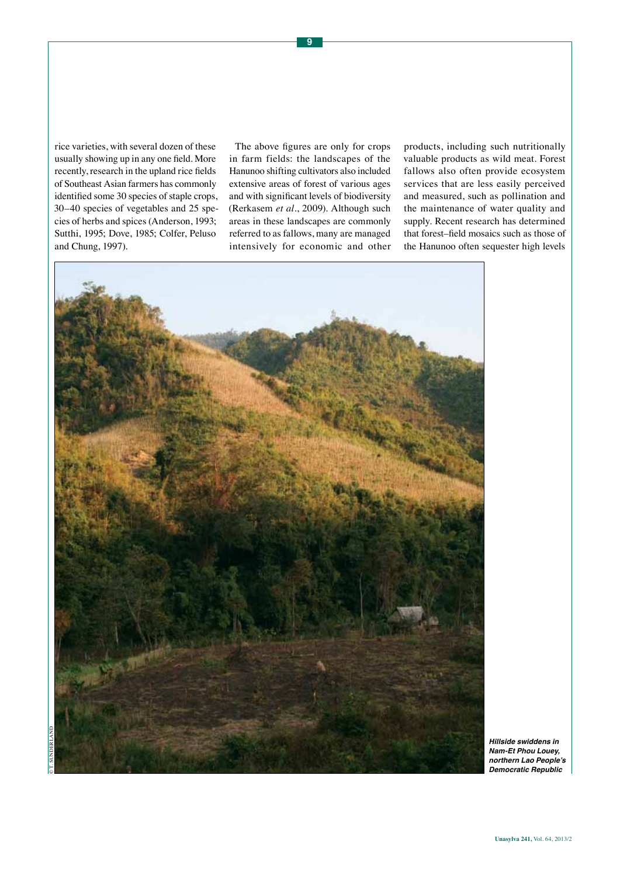rice varieties, with several dozen of these usually showing up in any one field. More recently, research in the upland rice fields of Southeast Asian farmers has commonly identified some 30 species of staple crops, 30–40 species of vegetables and 25 species of herbs and spices (Anderson, 1993; Sutthi, 1995; Dove, 1985; Colfer, Peluso and Chung, 1997).

The above figures are only for crops in farm fields: the landscapes of the Hanunoo shifting cultivators also included extensive areas of forest of various ages and with significant levels of biodiversity (Rerkasem *et al.*, 2009). Although such areas in these landscapes are commonly referred to as fallows, many are managed intensively for economic and other products, including such nutritionally valuable products as wild meat. Forest fallows also often provide ecosystem services that are less easily perceived and measured, such as pollination and the maintenance of water quality and supply. Recent research has determined that forest–field mosaics such as those of the Hanunoo often sequester high levels



*Hillside swiddens in Nam-Et Phou Louey,*  **northern Lao People's**  *Democratic Republic*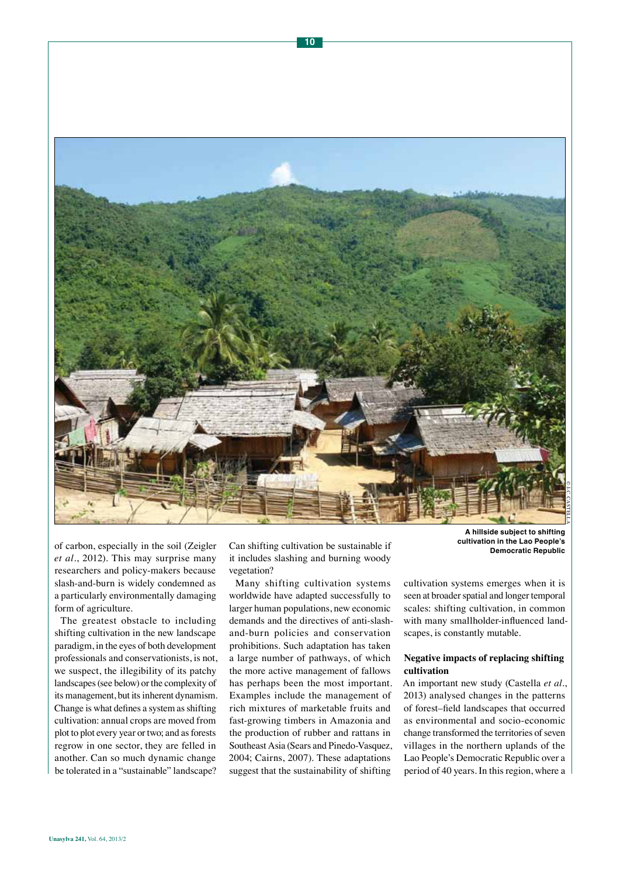

of carbon, especially in the soil (Zeigler *et al.*, 2012). This may surprise many researchers and policy-makers because slash-and-burn is widely condemned as a particularly environmentally damaging form of agriculture.

The greatest obstacle to including shifting cultivation in the new landscape paradigm, in the eyes of both development professionals and conservationists, is not, we suspect, the illegibility of its patchy landscapes (see below) or the complexity of its management, but its inherent dynamism. Change is what defines a system as shifting cultivation: annual crops are moved from plot to plot every year or two; and as forests regrow in one sector, they are felled in another. Can so much dynamic change be tolerated in a "sustainable" landscape?

Can shifting cultivation be sustainable if it includes slashing and burning woody vegetation?

Many shifting cultivation systems worldwide have adapted successfully to larger human populations, new economic demands and the directives of anti-slashand-burn policies and conservation prohibitions. Such adaptation has taken a large number of pathways, of which the more active management of fallows has perhaps been the most important. Examples include the management of rich mixtures of marketable fruits and fast-growing timbers in Amazonia and the production of rubber and rattans in Southeast Asia (Sears and Pinedo-Vasquez, 2004; Cairns, 2007). These adaptations suggest that the sustainability of shifting

**cultivation in the Lao People's Democratic Republic** 

cultivation systems emerges when it is seen at broader spatial and longer temporal scales: shifting cultivation, in common with many smallholder-influenced landscapes, is constantly mutable.

## **Negative impacts of replacing shifting cultivation**

An important new study (Castella *et al.*, 2013) analysed changes in the patterns of forest–field landscapes that occurred as environmental and socio-economic change transformed the territories of seven villages in the northern uplands of the Lao People's Democratic Republic over a period of 40 years. In this region, where a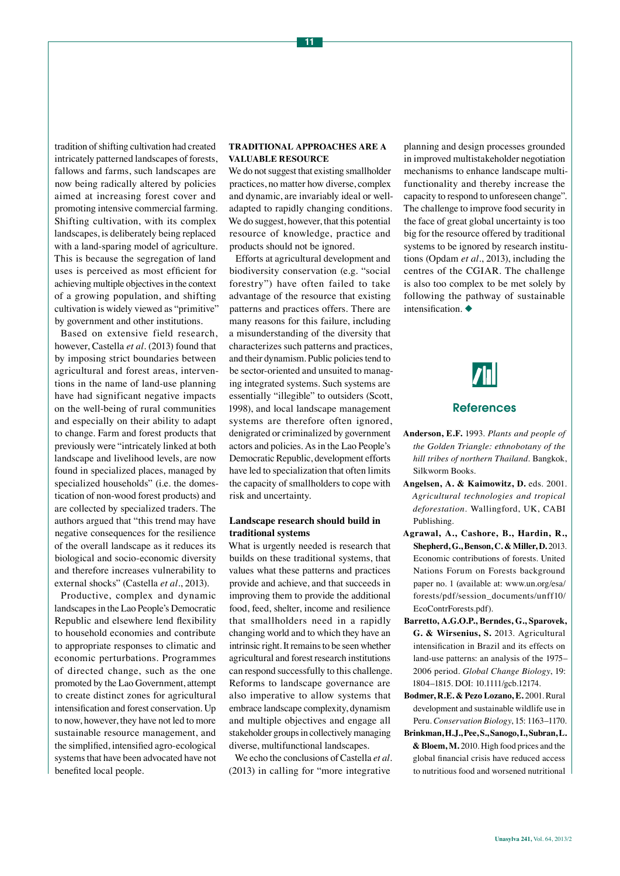tradition of shifting cultivation had created intricately patterned landscapes of forests, fallows and farms, such landscapes are now being radically altered by policies aimed at increasing forest cover and promoting intensive commercial farming. Shifting cultivation, with its complex landscapes, is deliberately being replaced with a land-sparing model of agriculture. This is because the segregation of land uses is perceived as most efficient for achieving multiple objectives in the context of a growing population, and shifting cultivation is widely viewed as "primitive"

by government and other institutions. Based on extensive field research, however, Castella *et al.* (2013) found that by imposing strict boundaries between agricultural and forest areas, interventions in the name of land-use planning have had significant negative impacts on the well-being of rural communities and especially on their ability to adapt to change. Farm and forest products that previously were "intricately linked at both landscape and livelihood levels, are now found in specialized places, managed by specialized households" (i.e. the domestication of non-wood forest products) and are collected by specialized traders. The authors argued that "this trend may have negative consequences for the resilience of the overall landscape as it reduces its biological and socio-economic diversity and therefore increases vulnerability to external shocks" (Castella *et al.*, 2013).

Productive, complex and dynamic landscapes in the Lao People's Democratic Republic and elsewhere lend flexibility to household economies and contribute to appropriate responses to climatic and economic perturbations. Programmes of directed change, such as the one promoted by the Lao Government, attempt to create distinct zones for agricultural intensification and forest conservation. Up to now, however, they have not led to more sustainable resource management, and the simplified, intensified agro-ecological systems that have been advocated have not benefited local people.

## **TRADITIONAL APPROACHES ARE A VALUABLE RESOURCE**

We do not suggest that existing smallholder practices, no matter how diverse, complex and dynamic, are invariably ideal or welladapted to rapidly changing conditions. We do suggest, however, that this potential resource of knowledge, practice and products should not be ignored.

Efforts at agricultural development and biodiversity conservation (e.g. "social forestry") have often failed to take advantage of the resource that existing patterns and practices offers. There are many reasons for this failure, including a misunderstanding of the diversity that characterizes such patterns and practices, and their dynamism. Public policies tend to be sector-oriented and unsuited to managing integrated systems. Such systems are essentially "illegible" to outsiders (Scott, 1998), and local landscape management systems are therefore often ignored, denigrated or criminalized by government actors and policies. As in the Lao People's Democratic Republic, development efforts have led to specialization that often limits the capacity of smallholders to cope with risk and uncertainty.

## **Landscape research should build in traditional systems**

What is urgently needed is research that builds on these traditional systems, that values what these patterns and practices provide and achieve, and that succeeds in improving them to provide the additional food, feed, shelter, income and resilience that smallholders need in a rapidly changing world and to which they have an intrinsic right. It remains to be seen whether agricultural and forest research institutions can respond successfully to this challenge. Reforms to landscape governance are also imperative to allow systems that embrace landscape complexity, dynamism and multiple objectives and engage all stakeholder groups in collectively managing diverse, multifunctional landscapes.

We echo the conclusions of Castella *et al.* (2013) in calling for "more integrative

planning and design processes grounded in improved multistakeholder negotiation mechanisms to enhance landscape multifunctionality and thereby increase the capacity to respond to unforeseen change". The challenge to improve food security in the face of great global uncertainty is too big for the resource offered by traditional systems to be ignored by research institutions (Opdam *et al.*, 2013), including the centres of the CGIAR. The challenge is also too complex to be met solely by following the pathway of sustainable intensification.  $\blacklozenge$ 



# References

- **Anderson, E.F.** 1993. *Plants and people of the Golden Triangle: ethnobotany of the hill tribes of northern Thailand*. Bangkok, Silkworm Books.
- **Angelsen, A. & Kaimowitz, D.** eds. 2001. *Agricultural technologies and tropical deforestation*. Wallingford, UK, CABI Publishing.
- **Agrawal, A., Cashore, B., Hardin, R., Shepherd, G., Benson, C. & Miller, D.** 2013. Economic contributions of forests. United Nations Forum on Forests background paper no. 1 (available at: [www.un.org/esa/](www.un.org/esa/forests/pdf/session_documents/unff10/EcoContrForests.pdf) [forests/pdf/session\\_documents/unff10/](www.un.org/esa/forests/pdf/session_documents/unff10/EcoContrForests.pdf) [EcoContrForests.pdf](www.un.org/esa/forests/pdf/session_documents/unff10/EcoContrForests.pdf)).
- **Barretto, A.G.O.P., Berndes, G., Sparovek, G. & Wirsenius, S.** 2013. Agricultural intensification in Brazil and its effects on land-use patterns: an analysis of the 1975– 2006 period. *Global Change Biology*, 19: 1804–1815. DOI: 10.1111/gcb.12174.
- **Bodmer, R.E. & Pezo Lozano, E.** 2001. Rural development and sustainable wildlife use in Peru. *Conservation Biology*, 15: 1163–1170.
- **Brinkman, H.J., Pee, S., Sanogo, I., Subran, L. & Bloem, M.** 2010. High food prices and the global financial crisis have reduced access to nutritious food and worsened nutritional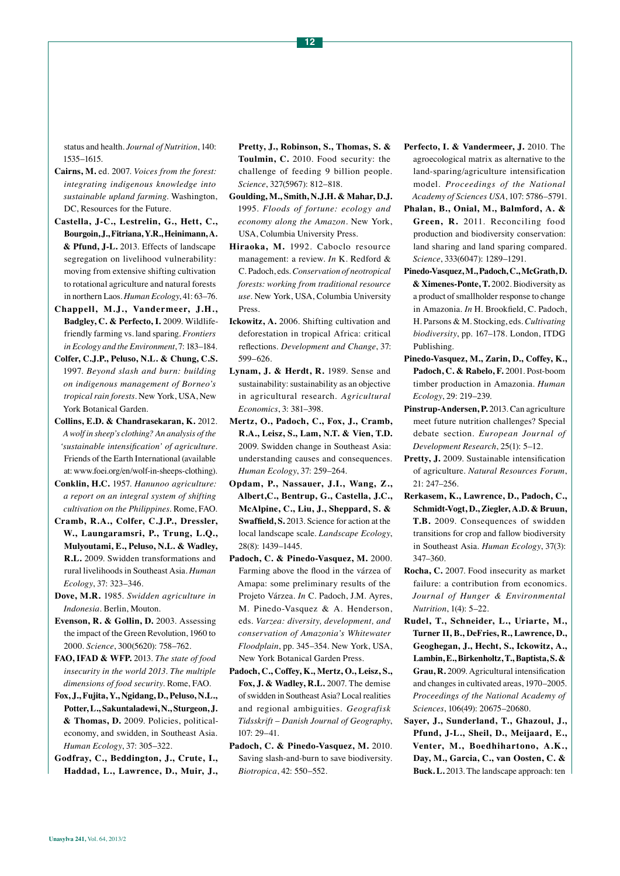status and health. *Journal of Nutrition*, 140: 1535–1615.

- **Cairns, M.** ed. 2007. *Voices from the forest: integrating indigenous knowledge into sustainable upland farming*. Washington, DC, Resources for the Future.
- **Castella, J-C., Lestrelin, G., Hett, C., Bourgoin, J., Fitriana, Y.R., Heinimann, A. & Pfund, J-L.** 2013. Effects of landscape segregation on livelihood vulnerability: moving from extensive shifting cultivation to rotational agriculture and natural forests in northern Laos. *Human Ecology*, 41: 63–76.
- **Chappell, M. J., Vandermeer, J.H., Badgley, C. & Perfecto, I.** 2009. Wildlifefriendly farming vs. land sparing. *Frontiers in Ecology and the Environment*, 7: 183–184.
- **Colfer, C.J.P., Peluso, N.L. & Chung, C.S.**  1997. *Beyond slash and burn: building on indigenous management of Borneo's tropical rain forests*. New York, USA, New York Botanical Garden.
- **Collins, E.D. & Chandrasekaran, K.** 2012. *A wolf in sheep's clothing? An analysis of the 'sustainable intensification' of agriculture*. Friends of the Earth International (available at: www.foei.org/en/wolf-in-sheeps-clothing).
- **Conklin, H.C.** 1957. *Hanunoo agriculture: a report on an integral system of shifting cultivation on the Philippines*. Rome, FAO.
- **Cramb, R.A., Colfer, C.J.P., Dressler, W., Laungaramsri, P., Trung, L.Q., Mulyoutami, E., Peluso, N.L. & Wadley, R.L.** 2009. Swidden transformations and rural livelihoods in Southeast Asia. *Human Ecology*, 37: 323–346.
- **Dove, M.R.** 1985. *Swidden agriculture in Indonesia*. Berlin, Mouton.
- **Evenson, R. & Gollin, D.** 2003. Assessing the impact of the Green Revolution, 1960 to 2000. *Science*, 300(5620): 758–762.
- **FAO, IFAD & WFP.** 2013. *The state of food insecurity in the world 2013. The multiple dimensions of food security.* Rome, FAO.
- **Fox, J., Fujita, Y., Ngidang, D., Peluso, N.L., Potter, L., Sakuntaladewi, N., Sturgeon, J. & Thomas, D.** 2009. Policies, politicaleconomy, and swidden, in Southeast Asia. *Human Ecology*, 37: 305–322.

**Godfray, C., Beddington, J., Crute, I., Haddad, L., Lawrence, D., Muir, J.,**  **Pretty, J., Robinson, S., Thomas, S. & Toulmin, C.** 2010. Food security: the challenge of feeding 9 billion people. *Science*, 327(5967): 812–818.

- **Goulding, M., Smith, N.J.H. & Mahar, D.J.** 1995. *Floods of fortune: ecology and economy along the Amazon*. New York, USA, Columbia University Press.
- **Hiraoka, M.** 1992. Caboclo resource management: a review. *In* K. Redford & C. Padoch, eds. *Conservation of neotropical forests: working from traditional resource use*. New York, USA, Columbia University Press.
- **Ickowitz, A.** 2006. Shifting cultivation and deforestation in tropical Africa: critical reflections. *Development and Change*, 37: 599–626.
- **Lynam, J. & Herdt, R.** 1989. Sense and sustainability: sustainability as an objective in agricultural research. *Agricultural Economics*, 3: 381–398.
- **Mertz, O., Padoch, C., Fox, J., Cramb, R.A., Leisz, S., Lam, N.T. & Vien, T.D.** 2009. Swidden change in Southeast Asia: understanding causes and consequences. *Human Ecology*, 37: 259–264.
- **Opdam, P., Nassauer, J.I., Wang, Z., Albert,C., Bentrup, G., Castella, J.C., McAlpine, C., Liu, J., Sheppard, S. & Swaffield, S.** 2013. Science for action at the local landscape scale. *Landscape Ecology*, 28(8): 1439–1445.
- **Padoch, C. & Pinedo-Vasquez, M.** 2000. Farming above the flood in the várzea of Amapa: some preliminary results of the Projeto Várzea. *In* C. Padoch, J.M. Ayres, M. Pinedo-Vasquez & A. Henderson, eds. *Varzea: diversity, development, and conservation of Amazonia's Whitewater Floodplain*, pp. 345–354. New York, USA, New York Botanical Garden Press.
- **Padoch, C., Coffey, K., Mertz, O., Leisz, S., Fox, J. & Wadley, R.L.** 2007. The demise of swidden in Southeast Asia? Local realities and regional ambiguities. *Geografisk Tidsskrift* – *Danish Journal of Geography*, 107: 29–41.
- **Padoch, C. & Pinedo-Vasquez, M.** 2010. Saving slash-and-burn to save biodiversity. *Biotropica*, 42: 550–552.
- Perfecto, I. & Vandermeer, J. 2010. The agroecological matrix as alternative to the land-sparing/agriculture intensification model. *Proceedings of the National Academy of Sciences USA*, 107: 5786–5791.
- **Phalan, B., Onial, M., Balmford, A. & Green, R.** 2011. Reconciling food production and biodiversity conservation: land sharing and land sparing compared. *Science*, 333(6047): 1289–1291.
- **Pinedo-Vasquez, M., Padoch, C., McGrath, D. & Ximenes-Ponte, T.** 2002. Biodiversity as a product of smallholder response to change in Amazonia. *In* H. Brookfield, C. Padoch, H. Parsons & M. Stocking, eds. *Cultivating biodiversity*, pp. 167–178. London, ITDG Publishing.
- **Pinedo-Vasquez, M., Zarin, D., Coffey, K.,**  Padoch, C. & Rabelo, F. 2001. Post-boom timber production in Amazonia. *Human Ecology*, 29: 219–239.
- Pinstrup-Andersen, P. 2013. Can agriculture meet future nutrition challenges? Special debate section. *European Journal of Development Research*, 25(1): 5–12.
- Pretty, J. 2009. Sustainable intensification of agriculture. *Natural Resources Forum*, 21: 247–256.
- **Rerkasem, K., Lawrence, D., Padoch, C., Schmidt-Vogt, D., Ziegler, A.D. & Bruun, T.B.** 2009. Consequences of swidden transitions for crop and fallow biodiversity in Southeast Asia. *Human Ecology*, 37(3): 347–360.
- **Rocha, C.** 2007. Food insecurity as market failure: a contribution from economics. *Journal of Hunger & Environmental Nutrition*, 1(4): 5–22.
- **Rudel, T., Schneider, L., Uriarte, M., Turner II, B., DeFries, R., Lawrence, D., Geoghegan, J., Hecht, S., Ickowitz, A., Lambin, E., Birkenholtz, T., Baptista, S. & Grau, R.** 2009. Agricultural intensification and changes in cultivated areas, 1970–2005. *Proceedings of the National Academy of Sciences*, 106(49): 20675–20680.
- **Sayer, J., Sunderland, T., Ghazoul, J., Pfund, J-L., Sheil, D., Meijaard, E., Venter, M., Boedhihartono, A.K., Day, M., Garcia, C., van Oosten, C. & Buck. L.** 2013. The landscape approach: ten